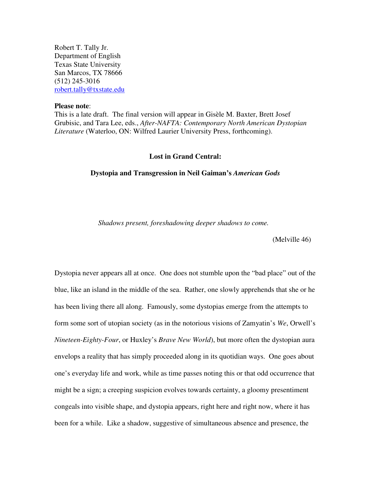Robert T. Tally Jr. Department of English Texas State University San Marcos, TX 78666 (512) 245-3016 robert.tally@txstate.edu

### **Please note**:

This is a late draft. The final version will appear in Gisèle M. Baxter, Brett Josef Grubisic, and Tara Lee, eds., *After-NAFTA: Contemporary North American Dystopian Literature* (Waterloo, ON: Wilfred Laurier University Press, forthcoming).

## **Lost in Grand Central:**

#### **Dystopia and Transgression in Neil Gaiman's** *American Gods*

*Shadows present, foreshadowing deeper shadows to come.* 

(Melville 46)

Dystopia never appears all at once. One does not stumble upon the "bad place" out of the blue, like an island in the middle of the sea. Rather, one slowly apprehends that she or he has been living there all along. Famously, some dystopias emerge from the attempts to form some sort of utopian society (as in the notorious visions of Zamyatin's *We*, Orwell's *Nineteen-Eighty-Four*, or Huxley's *Brave New World*), but more often the dystopian aura envelops a reality that has simply proceeded along in its quotidian ways. One goes about one's everyday life and work, while as time passes noting this or that odd occurrence that might be a sign; a creeping suspicion evolves towards certainty, a gloomy presentiment congeals into visible shape, and dystopia appears, right here and right now, where it has been for a while. Like a shadow, suggestive of simultaneous absence and presence, the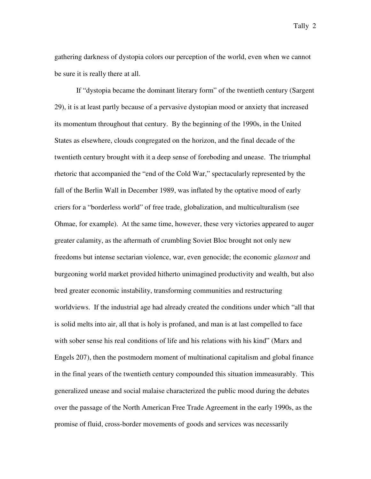gathering darkness of dystopia colors our perception of the world, even when we cannot be sure it is really there at all.

 If "dystopia became the dominant literary form" of the twentieth century (Sargent 29), it is at least partly because of a pervasive dystopian mood or anxiety that increased its momentum throughout that century. By the beginning of the 1990s, in the United States as elsewhere, clouds congregated on the horizon, and the final decade of the twentieth century brought with it a deep sense of foreboding and unease. The triumphal rhetoric that accompanied the "end of the Cold War," spectacularly represented by the fall of the Berlin Wall in December 1989, was inflated by the optative mood of early criers for a "borderless world" of free trade, globalization, and multiculturalism (see Ohmae, for example). At the same time, however, these very victories appeared to auger greater calamity, as the aftermath of crumbling Soviet Bloc brought not only new freedoms but intense sectarian violence, war, even genocide; the economic *glasnost* and burgeoning world market provided hitherto unimagined productivity and wealth, but also bred greater economic instability, transforming communities and restructuring worldviews. If the industrial age had already created the conditions under which "all that is solid melts into air, all that is holy is profaned, and man is at last compelled to face with sober sense his real conditions of life and his relations with his kind" (Marx and Engels 207), then the postmodern moment of multinational capitalism and global finance in the final years of the twentieth century compounded this situation immeasurably. This generalized unease and social malaise characterized the public mood during the debates over the passage of the North American Free Trade Agreement in the early 1990s, as the promise of fluid, cross-border movements of goods and services was necessarily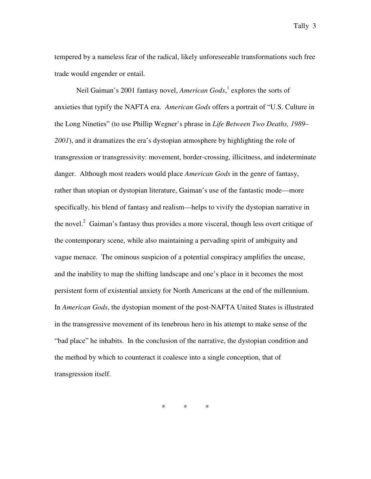tempered by a nameless fear of the radical, likely unforeseeable transformations such free trade would engender or entail.

Neil Gaiman's 2001 fantasy novel, *American Gods*,<sup>1</sup> explores the sorts of anxieties that typify the NAFTA era. *American Gods* offers a portrait of "U.S. Culture in the Long Nineties" (to use Phillip Wegner's phrase in *Life Between Two Deaths, 1989– 2001*), and it dramatizes the era's dystopian atmosphere by highlighting the role of transgression or transgressivity: movement, border-crossing, illicitness, and indeterminate danger. Although most readers would place *American Gods* in the genre of fantasy, rather than utopian or dystopian literature, Gaiman's use of the fantastic mode—more specifically, his blend of fantasy and realism—helps to vivify the dystopian narrative in the novel.<sup>2</sup> Gaiman's fantasy thus provides a more visceral, though less overt critique of the contemporary scene, while also maintaining a pervading spirit of ambiguity and vague menace. The ominous suspicion of a potential conspiracy amplifies the unease, and the inability to map the shifting landscape and one's place in it becomes the most persistent form of existential anxiety for North Americans at the end of the millennium. In *American Gods*, the dystopian moment of the post-NAFTA United States is illustrated in the transgressive movement of its tenebrous hero in his attempt to make sense of the "bad place" he inhabits. In the conclusion of the narrative, the dystopian condition and the method by which to counteract it coalesce into a single conception, that of transgression itself.

\* \* \*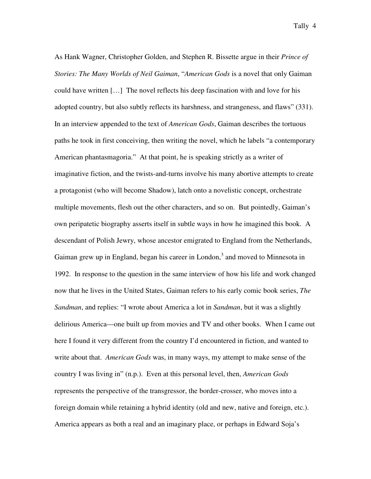As Hank Wagner, Christopher Golden, and Stephen R. Bissette argue in their *Prince of Stories: The Many Worlds of Neil Gaiman*, "*American Gods* is a novel that only Gaiman could have written […] The novel reflects his deep fascination with and love for his adopted country, but also subtly reflects its harshness, and strangeness, and flaws" (331). In an interview appended to the text of *American Gods*, Gaiman describes the tortuous paths he took in first conceiving, then writing the novel, which he labels "a contemporary American phantasmagoria." At that point, he is speaking strictly as a writer of imaginative fiction, and the twists-and-turns involve his many abortive attempts to create a protagonist (who will become Shadow), latch onto a novelistic concept, orchestrate multiple movements, flesh out the other characters, and so on. But pointedly, Gaiman's own peripatetic biography asserts itself in subtle ways in how he imagined this book. A descendant of Polish Jewry, whose ancestor emigrated to England from the Netherlands, Gaiman grew up in England, began his career in London,<sup>3</sup> and moved to Minnesota in 1992. In response to the question in the same interview of how his life and work changed now that he lives in the United States, Gaiman refers to his early comic book series, *The Sandman*, and replies: "I wrote about America a lot in *Sandman*, but it was a slightly delirious America—one built up from movies and TV and other books. When I came out here I found it very different from the country I'd encountered in fiction, and wanted to write about that. *American Gods* was, in many ways, my attempt to make sense of the country I was living in" (n.p.). Even at this personal level, then, *American Gods* represents the perspective of the transgressor, the border-crosser, who moves into a foreign domain while retaining a hybrid identity (old and new, native and foreign, etc.). America appears as both a real and an imaginary place, or perhaps in Edward Soja's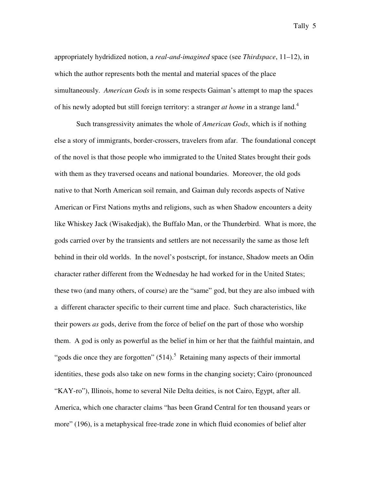appropriately hydridized notion, a *real-and-imagined* space (see *Thirdspace*, 11–12), in which the author represents both the mental and material spaces of the place simultaneously. *American Gods* is in some respects Gaiman's attempt to map the spaces of his newly adopted but still foreign territory: a stranger *at home* in a strange land.<sup>4</sup>

 Such transgressivity animates the whole of *American Gods*, which is if nothing else a story of immigrants, border-crossers, travelers from afar. The foundational concept of the novel is that those people who immigrated to the United States brought their gods with them as they traversed oceans and national boundaries. Moreover, the old gods native to that North American soil remain, and Gaiman duly records aspects of Native American or First Nations myths and religions, such as when Shadow encounters a deity like Whiskey Jack (Wisakedjak), the Buffalo Man, or the Thunderbird. What is more, the gods carried over by the transients and settlers are not necessarily the same as those left behind in their old worlds. In the novel's postscript, for instance, Shadow meets an Odin character rather different from the Wednesday he had worked for in the United States; these two (and many others, of course) are the "same" god, but they are also imbued with a different character specific to their current time and place. Such characteristics, like their powers *as* gods, derive from the force of belief on the part of those who worship them. A god is only as powerful as the belief in him or her that the faithful maintain, and "gods die once they are forgotten"  $(514)$ .<sup>5</sup> Retaining many aspects of their immortal identities, these gods also take on new forms in the changing society; Cairo (pronounced "KAY-ro"), Illinois, home to several Nile Delta deities, is not Cairo, Egypt, after all. America, which one character claims "has been Grand Central for ten thousand years or more" (196), is a metaphysical free-trade zone in which fluid economies of belief alter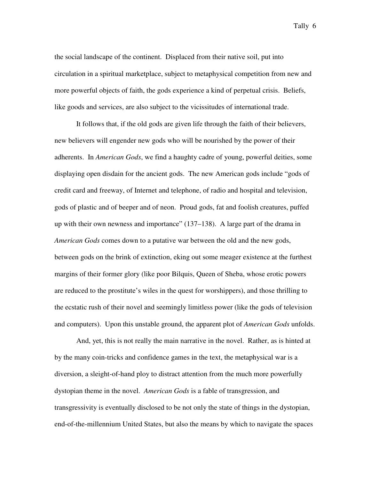the social landscape of the continent. Displaced from their native soil, put into circulation in a spiritual marketplace, subject to metaphysical competition from new and more powerful objects of faith, the gods experience a kind of perpetual crisis. Beliefs, like goods and services, are also subject to the vicissitudes of international trade.

 It follows that, if the old gods are given life through the faith of their believers, new believers will engender new gods who will be nourished by the power of their adherents. In *American Gods*, we find a haughty cadre of young, powerful deities, some displaying open disdain for the ancient gods. The new American gods include "gods of credit card and freeway, of Internet and telephone, of radio and hospital and television, gods of plastic and of beeper and of neon. Proud gods, fat and foolish creatures, puffed up with their own newness and importance" (137–138). A large part of the drama in *American Gods* comes down to a putative war between the old and the new gods, between gods on the brink of extinction, eking out some meager existence at the furthest margins of their former glory (like poor Bilquis, Queen of Sheba, whose erotic powers are reduced to the prostitute's wiles in the quest for worshippers), and those thrilling to the ecstatic rush of their novel and seemingly limitless power (like the gods of television and computers). Upon this unstable ground, the apparent plot of *American Gods* unfolds.

 And, yet, this is not really the main narrative in the novel. Rather, as is hinted at by the many coin-tricks and confidence games in the text, the metaphysical war is a diversion, a sleight-of-hand ploy to distract attention from the much more powerfully dystopian theme in the novel. *American Gods* is a fable of transgression, and transgressivity is eventually disclosed to be not only the state of things in the dystopian, end-of-the-millennium United States, but also the means by which to navigate the spaces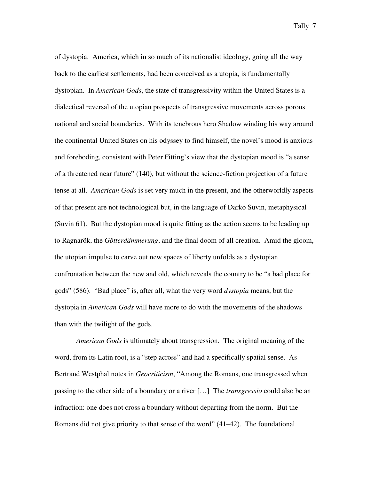of dystopia. America, which in so much of its nationalist ideology, going all the way back to the earliest settlements, had been conceived as a utopia, is fundamentally dystopian. In *American Gods*, the state of transgressivity within the United States is a dialectical reversal of the utopian prospects of transgressive movements across porous national and social boundaries. With its tenebrous hero Shadow winding his way around the continental United States on his odyssey to find himself, the novel's mood is anxious and foreboding, consistent with Peter Fitting's view that the dystopian mood is "a sense of a threatened near future" (140), but without the science-fiction projection of a future tense at all. *American Gods* is set very much in the present, and the otherworldly aspects of that present are not technological but, in the language of Darko Suvin, metaphysical (Suvin 61). But the dystopian mood is quite fitting as the action seems to be leading up to Ragnarök, the *Götterdämmerung*, and the final doom of all creation. Amid the gloom, the utopian impulse to carve out new spaces of liberty unfolds as a dystopian confrontation between the new and old, which reveals the country to be "a bad place for gods" (586). "Bad place" is, after all, what the very word *dystopia* means, but the dystopia in *American Gods* will have more to do with the movements of the shadows than with the twilight of the gods.

*American Gods* is ultimately about transgression. The original meaning of the word, from its Latin root, is a "step across" and had a specifically spatial sense. As Bertrand Westphal notes in *Geocriticism*, "Among the Romans, one transgressed when passing to the other side of a boundary or a river […] The *transgressio* could also be an infraction: one does not cross a boundary without departing from the norm. But the Romans did not give priority to that sense of the word" (41–42). The foundational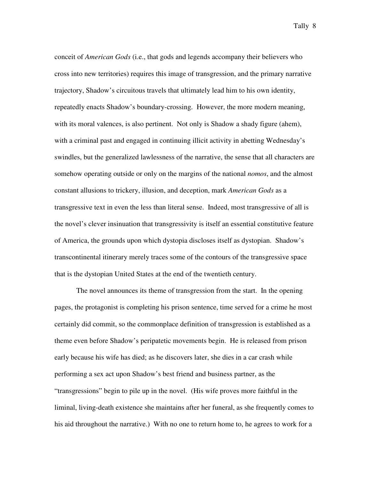conceit of *American Gods* (i.e., that gods and legends accompany their believers who cross into new territories) requires this image of transgression, and the primary narrative trajectory, Shadow's circuitous travels that ultimately lead him to his own identity, repeatedly enacts Shadow's boundary-crossing. However, the more modern meaning, with its moral valences, is also pertinent. Not only is Shadow a shady figure (ahem), with a criminal past and engaged in continuing illicit activity in abetting Wednesday's swindles, but the generalized lawlessness of the narrative, the sense that all characters are somehow operating outside or only on the margins of the national *nomos*, and the almost constant allusions to trickery, illusion, and deception, mark *American Gods* as a transgressive text in even the less than literal sense. Indeed, most transgressive of all is the novel's clever insinuation that transgressivity is itself an essential constitutive feature of America, the grounds upon which dystopia discloses itself as dystopian. Shadow's transcontinental itinerary merely traces some of the contours of the transgressive space that is the dystopian United States at the end of the twentieth century.

 The novel announces its theme of transgression from the start. In the opening pages, the protagonist is completing his prison sentence, time served for a crime he most certainly did commit, so the commonplace definition of transgression is established as a theme even before Shadow's peripatetic movements begin. He is released from prison early because his wife has died; as he discovers later, she dies in a car crash while performing a sex act upon Shadow's best friend and business partner, as the "transgressions" begin to pile up in the novel. (His wife proves more faithful in the liminal, living-death existence she maintains after her funeral, as she frequently comes to his aid throughout the narrative.) With no one to return home to, he agrees to work for a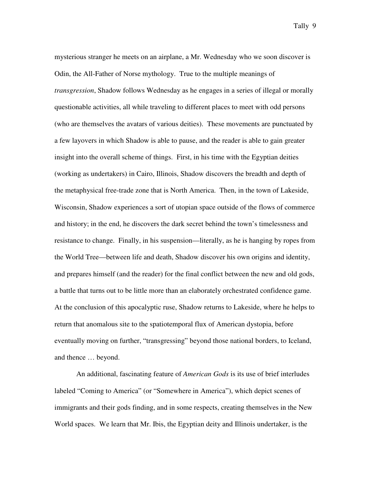mysterious stranger he meets on an airplane, a Mr. Wednesday who we soon discover is Odin, the All-Father of Norse mythology. True to the multiple meanings of *transgression*, Shadow follows Wednesday as he engages in a series of illegal or morally questionable activities, all while traveling to different places to meet with odd persons (who are themselves the avatars of various deities). These movements are punctuated by a few layovers in which Shadow is able to pause, and the reader is able to gain greater insight into the overall scheme of things. First, in his time with the Egyptian deities (working as undertakers) in Cairo, Illinois, Shadow discovers the breadth and depth of the metaphysical free-trade zone that is North America. Then, in the town of Lakeside, Wisconsin, Shadow experiences a sort of utopian space outside of the flows of commerce and history; in the end, he discovers the dark secret behind the town's timelessness and resistance to change. Finally, in his suspension—literally, as he is hanging by ropes from the World Tree—between life and death, Shadow discover his own origins and identity, and prepares himself (and the reader) for the final conflict between the new and old gods, a battle that turns out to be little more than an elaborately orchestrated confidence game. At the conclusion of this apocalyptic ruse, Shadow returns to Lakeside, where he helps to return that anomalous site to the spatiotemporal flux of American dystopia, before eventually moving on further, "transgressing" beyond those national borders, to Iceland, and thence … beyond.

 An additional, fascinating feature of *American Gods* is its use of brief interludes labeled "Coming to America" (or "Somewhere in America"), which depict scenes of immigrants and their gods finding, and in some respects, creating themselves in the New World spaces. We learn that Mr. Ibis, the Egyptian deity and Illinois undertaker, is the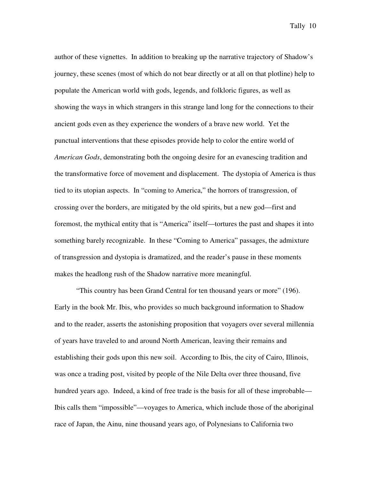author of these vignettes. In addition to breaking up the narrative trajectory of Shadow's journey, these scenes (most of which do not bear directly or at all on that plotline) help to populate the American world with gods, legends, and folkloric figures, as well as showing the ways in which strangers in this strange land long for the connections to their ancient gods even as they experience the wonders of a brave new world. Yet the punctual interventions that these episodes provide help to color the entire world of *American Gods*, demonstrating both the ongoing desire for an evanescing tradition and the transformative force of movement and displacement. The dystopia of America is thus tied to its utopian aspects. In "coming to America," the horrors of transgression, of crossing over the borders, are mitigated by the old spirits, but a new god—first and foremost, the mythical entity that is "America" itself—tortures the past and shapes it into something barely recognizable. In these "Coming to America" passages, the admixture of transgression and dystopia is dramatized, and the reader's pause in these moments makes the headlong rush of the Shadow narrative more meaningful.

 "This country has been Grand Central for ten thousand years or more" (196). Early in the book Mr. Ibis, who provides so much background information to Shadow and to the reader, asserts the astonishing proposition that voyagers over several millennia of years have traveled to and around North American, leaving their remains and establishing their gods upon this new soil. According to Ibis, the city of Cairo, Illinois, was once a trading post, visited by people of the Nile Delta over three thousand, five hundred years ago. Indeed, a kind of free trade is the basis for all of these improbable— Ibis calls them "impossible"—voyages to America, which include those of the aboriginal race of Japan, the Ainu, nine thousand years ago, of Polynesians to California two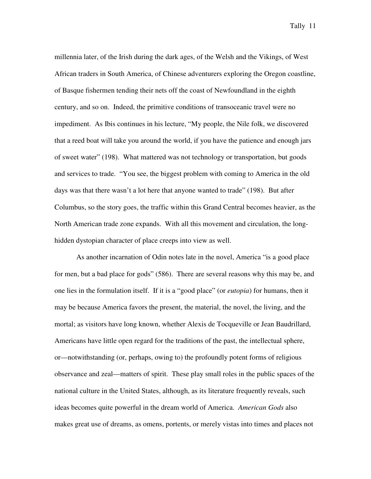millennia later, of the Irish during the dark ages, of the Welsh and the Vikings, of West African traders in South America, of Chinese adventurers exploring the Oregon coastline, of Basque fishermen tending their nets off the coast of Newfoundland in the eighth century, and so on. Indeed, the primitive conditions of transoceanic travel were no impediment. As Ibis continues in his lecture, "My people, the Nile folk, we discovered that a reed boat will take you around the world, if you have the patience and enough jars of sweet water" (198). What mattered was not technology or transportation, but goods and services to trade. "You see, the biggest problem with coming to America in the old days was that there wasn't a lot here that anyone wanted to trade" (198). But after Columbus, so the story goes, the traffic within this Grand Central becomes heavier, as the North American trade zone expands. With all this movement and circulation, the longhidden dystopian character of place creeps into view as well.

 As another incarnation of Odin notes late in the novel, America "is a good place for men, but a bad place for gods" (586). There are several reasons why this may be, and one lies in the formulation itself. If it is a "good place" (or *eutopia*) for humans, then it may be because America favors the present, the material, the novel, the living, and the mortal; as visitors have long known, whether Alexis de Tocqueville or Jean Baudrillard, Americans have little open regard for the traditions of the past, the intellectual sphere, or—notwithstanding (or, perhaps, owing to) the profoundly potent forms of religious observance and zeal—matters of spirit. These play small roles in the public spaces of the national culture in the United States, although, as its literature frequently reveals, such ideas becomes quite powerful in the dream world of America. *American Gods* also makes great use of dreams, as omens, portents, or merely vistas into times and places not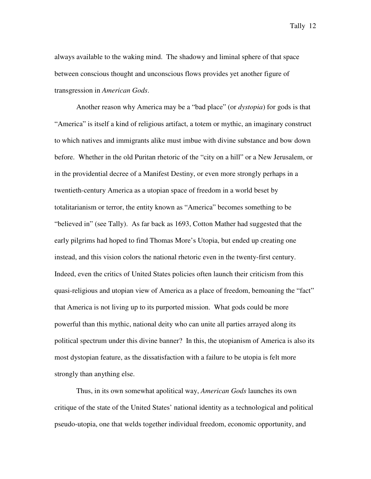always available to the waking mind. The shadowy and liminal sphere of that space between conscious thought and unconscious flows provides yet another figure of transgression in *American Gods*.

 Another reason why America may be a "bad place" (or *dystopia*) for gods is that "America" is itself a kind of religious artifact, a totem or mythic, an imaginary construct to which natives and immigrants alike must imbue with divine substance and bow down before. Whether in the old Puritan rhetoric of the "city on a hill" or a New Jerusalem, or in the providential decree of a Manifest Destiny, or even more strongly perhaps in a twentieth-century America as a utopian space of freedom in a world beset by totalitarianism or terror, the entity known as "America" becomes something to be "believed in" (see Tally). As far back as 1693, Cotton Mather had suggested that the early pilgrims had hoped to find Thomas More's Utopia, but ended up creating one instead, and this vision colors the national rhetoric even in the twenty-first century. Indeed, even the critics of United States policies often launch their criticism from this quasi-religious and utopian view of America as a place of freedom, bemoaning the "fact" that America is not living up to its purported mission. What gods could be more powerful than this mythic, national deity who can unite all parties arrayed along its political spectrum under this divine banner? In this, the utopianism of America is also its most dystopian feature, as the dissatisfaction with a failure to be utopia is felt more strongly than anything else.

 Thus, in its own somewhat apolitical way, *American Gods* launches its own critique of the state of the United States' national identity as a technological and political pseudo-utopia, one that welds together individual freedom, economic opportunity, and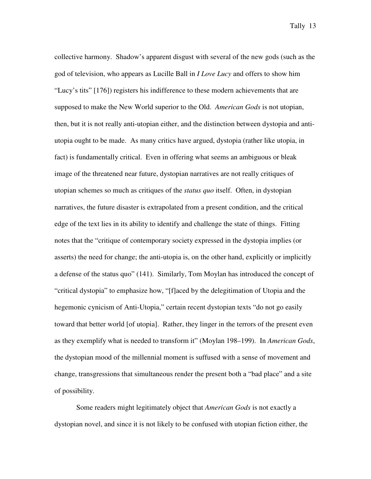collective harmony. Shadow's apparent disgust with several of the new gods (such as the god of television, who appears as Lucille Ball in *I Love Lucy* and offers to show him "Lucy's tits" [176]) registers his indifference to these modern achievements that are supposed to make the New World superior to the Old. *American Gods* is not utopian, then, but it is not really anti-utopian either, and the distinction between dystopia and antiutopia ought to be made. As many critics have argued, dystopia (rather like utopia, in fact) is fundamentally critical. Even in offering what seems an ambiguous or bleak image of the threatened near future, dystopian narratives are not really critiques of utopian schemes so much as critiques of the *status quo* itself. Often, in dystopian narratives, the future disaster is extrapolated from a present condition, and the critical edge of the text lies in its ability to identify and challenge the state of things. Fitting notes that the "critique of contemporary society expressed in the dystopia implies (or asserts) the need for change; the anti-utopia is, on the other hand, explicitly or implicitly a defense of the status quo" (141). Similarly, Tom Moylan has introduced the concept of "critical dystopia" to emphasize how, "[f]aced by the delegitimation of Utopia and the hegemonic cynicism of Anti-Utopia," certain recent dystopian texts "do not go easily toward that better world [of utopia]. Rather, they linger in the terrors of the present even as they exemplify what is needed to transform it" (Moylan 198–199). In *American Gods*, the dystopian mood of the millennial moment is suffused with a sense of movement and change, transgressions that simultaneous render the present both a "bad place" and a site of possibility.

 Some readers might legitimately object that *American Gods* is not exactly a dystopian novel, and since it is not likely to be confused with utopian fiction either, the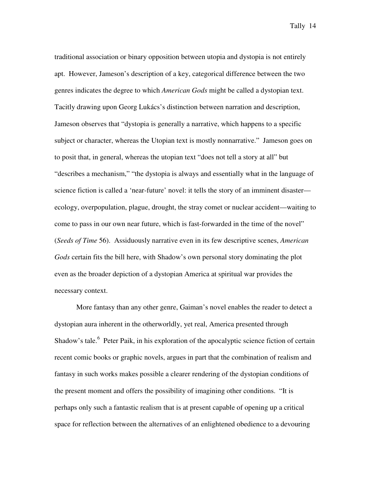traditional association or binary opposition between utopia and dystopia is not entirely apt. However, Jameson's description of a key, categorical difference between the two genres indicates the degree to which *American Gods* might be called a dystopian text. Tacitly drawing upon Georg Lukács's distinction between narration and description, Jameson observes that "dystopia is generally a narrative, which happens to a specific subject or character, whereas the Utopian text is mostly nonnarrative." Jameson goes on to posit that, in general, whereas the utopian text "does not tell a story at all" but "describes a mechanism," "the dystopia is always and essentially what in the language of science fiction is called a 'near-future' novel: it tells the story of an imminent disaster ecology, overpopulation, plague, drought, the stray comet or nuclear accident—waiting to come to pass in our own near future, which is fast-forwarded in the time of the novel" (*Seeds of Time* 56). Assiduously narrative even in its few descriptive scenes, *American Gods* certain fits the bill here, with Shadow's own personal story dominating the plot even as the broader depiction of a dystopian America at spiritual war provides the necessary context.

 More fantasy than any other genre, Gaiman's novel enables the reader to detect a dystopian aura inherent in the otherworldly, yet real, America presented through Shadow's tale.<sup>6</sup> Peter Paik, in his exploration of the apocalyptic science fiction of certain recent comic books or graphic novels, argues in part that the combination of realism and fantasy in such works makes possible a clearer rendering of the dystopian conditions of the present moment and offers the possibility of imagining other conditions. "It is perhaps only such a fantastic realism that is at present capable of opening up a critical space for reflection between the alternatives of an enlightened obedience to a devouring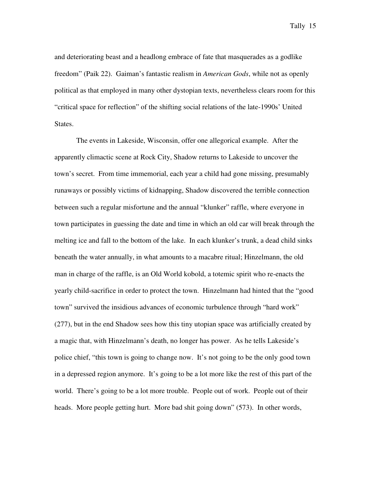and deteriorating beast and a headlong embrace of fate that masquerades as a godlike freedom" (Paik 22). Gaiman's fantastic realism in *American Gods*, while not as openly political as that employed in many other dystopian texts, nevertheless clears room for this "critical space for reflection" of the shifting social relations of the late-1990s' United States.

 The events in Lakeside, Wisconsin, offer one allegorical example. After the apparently climactic scene at Rock City, Shadow returns to Lakeside to uncover the town's secret. From time immemorial, each year a child had gone missing, presumably runaways or possibly victims of kidnapping, Shadow discovered the terrible connection between such a regular misfortune and the annual "klunker" raffle, where everyone in town participates in guessing the date and time in which an old car will break through the melting ice and fall to the bottom of the lake. In each klunker's trunk, a dead child sinks beneath the water annually, in what amounts to a macabre ritual; Hinzelmann, the old man in charge of the raffle, is an Old World kobold, a totemic spirit who re-enacts the yearly child-sacrifice in order to protect the town. Hinzelmann had hinted that the "good town" survived the insidious advances of economic turbulence through "hard work" (277), but in the end Shadow sees how this tiny utopian space was artificially created by a magic that, with Hinzelmann's death, no longer has power. As he tells Lakeside's police chief, "this town is going to change now. It's not going to be the only good town in a depressed region anymore. It's going to be a lot more like the rest of this part of the world. There's going to be a lot more trouble. People out of work. People out of their heads. More people getting hurt. More bad shit going down" (573). In other words,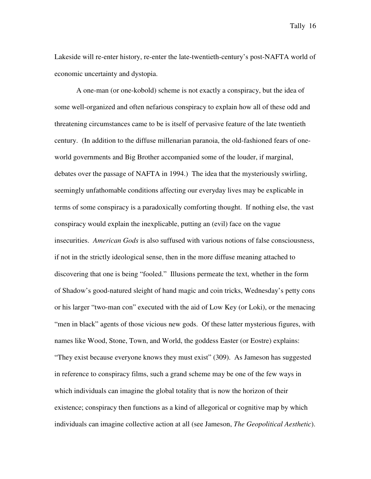Lakeside will re-enter history, re-enter the late-twentieth-century's post-NAFTA world of economic uncertainty and dystopia.

 A one-man (or one-kobold) scheme is not exactly a conspiracy, but the idea of some well-organized and often nefarious conspiracy to explain how all of these odd and threatening circumstances came to be is itself of pervasive feature of the late twentieth century. (In addition to the diffuse millenarian paranoia, the old-fashioned fears of oneworld governments and Big Brother accompanied some of the louder, if marginal, debates over the passage of NAFTA in 1994.) The idea that the mysteriously swirling, seemingly unfathomable conditions affecting our everyday lives may be explicable in terms of some conspiracy is a paradoxically comforting thought. If nothing else, the vast conspiracy would explain the inexplicable, putting an (evil) face on the vague insecurities. *American Gods* is also suffused with various notions of false consciousness, if not in the strictly ideological sense, then in the more diffuse meaning attached to discovering that one is being "fooled." Illusions permeate the text, whether in the form of Shadow's good-natured sleight of hand magic and coin tricks, Wednesday's petty cons or his larger "two-man con" executed with the aid of Low Key (or Loki), or the menacing "men in black" agents of those vicious new gods. Of these latter mysterious figures, with names like Wood, Stone, Town, and World, the goddess Easter (or Eostre) explains: "They exist because everyone knows they must exist" (309). As Jameson has suggested in reference to conspiracy films, such a grand scheme may be one of the few ways in which individuals can imagine the global totality that is now the horizon of their existence; conspiracy then functions as a kind of allegorical or cognitive map by which individuals can imagine collective action at all (see Jameson, *The Geopolitical Aesthetic*).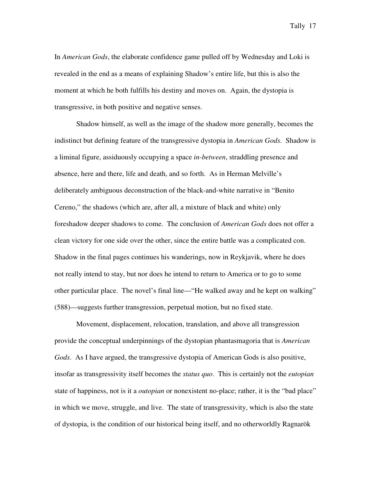In *American Gods*, the elaborate confidence game pulled off by Wednesday and Loki is revealed in the end as a means of explaining Shadow's entire life, but this is also the moment at which he both fulfills his destiny and moves on. Again, the dystopia is transgressive, in both positive and negative senses.

 Shadow himself, as well as the image of the shadow more generally, becomes the indistinct but defining feature of the transgressive dystopia in *American Gods*. Shadow is a liminal figure, assiduously occupying a space *in-between*, straddling presence and absence, here and there, life and death, and so forth. As in Herman Melville's deliberately ambiguous deconstruction of the black-and-white narrative in "Benito Cereno," the shadows (which are, after all, a mixture of black and white) only foreshadow deeper shadows to come. The conclusion of *American Gods* does not offer a clean victory for one side over the other, since the entire battle was a complicated con. Shadow in the final pages continues his wanderings, now in Reykjavik, where he does not really intend to stay, but nor does he intend to return to America or to go to some other particular place. The novel's final line—"He walked away and he kept on walking" (588)—suggests further transgression, perpetual motion, but no fixed state.

 Movement, displacement, relocation, translation, and above all transgression provide the conceptual underpinnings of the dystopian phantasmagoria that is *American Gods*. As I have argued, the transgressive dystopia of American Gods is also positive, insofar as transgressivity itself becomes the *status quo*. This is certainly not the *eutopian* state of happiness, not is it a *outopian* or nonexistent no-place; rather, it is the "bad place" in which we move, struggle, and live. The state of transgressivity, which is also the state of dystopia, is the condition of our historical being itself, and no otherworldly Ragnarök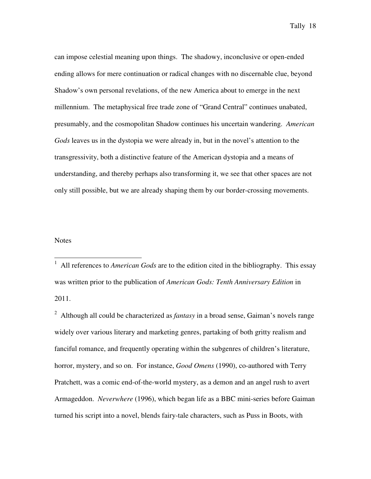can impose celestial meaning upon things. The shadowy, inconclusive or open-ended ending allows for mere continuation or radical changes with no discernable clue, beyond Shadow's own personal revelations, of the new America about to emerge in the next millennium. The metaphysical free trade zone of "Grand Central" continues unabated, presumably, and the cosmopolitan Shadow continues his uncertain wandering. *American Gods* leaves us in the dystopia we were already in, but in the novel's attention to the transgressivity, both a distinctive feature of the American dystopia and a means of understanding, and thereby perhaps also transforming it, we see that other spaces are not

only still possible, but we are already shaping them by our border-crossing movements.

# **Notes**

l

<sup>1</sup> All references to *American Gods* are to the edition cited in the bibliography. This essay was written prior to the publication of *American Gods: Tenth Anniversary Edition* in 2011.

2 Although all could be characterized as *fantasy* in a broad sense, Gaiman's novels range widely over various literary and marketing genres, partaking of both gritty realism and fanciful romance, and frequently operating within the subgenres of children's literature, horror, mystery, and so on. For instance, *Good Omens* (1990), co-authored with Terry Pratchett, was a comic end-of-the-world mystery, as a demon and an angel rush to avert Armageddon. *Neverwhere* (1996), which began life as a BBC mini-series before Gaiman turned his script into a novel, blends fairy-tale characters, such as Puss in Boots, with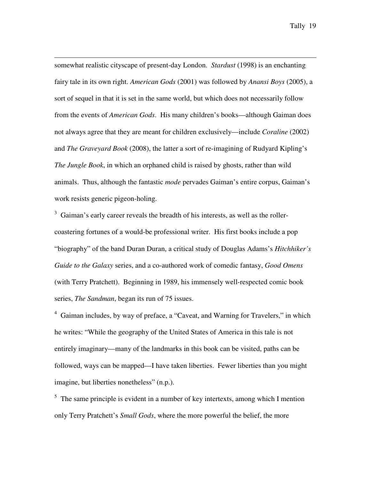somewhat realistic cityscape of present-day London. *Stardust* (1998) is an enchanting fairy tale in its own right. *American Gods* (2001) was followed by *Anansi Boys* (2005), a sort of sequel in that it is set in the same world, but which does not necessarily follow from the events of *American Gods*. His many children's books—although Gaiman does not always agree that they are meant for children exclusively—include *Coraline* (2002) and *The Graveyard Book* (2008), the latter a sort of re-imagining of Rudyard Kipling's *The Jungle Book*, in which an orphaned child is raised by ghosts, rather than wild animals. Thus, although the fantastic *mode* pervades Gaiman's entire corpus, Gaiman's work resists generic pigeon-holing.

 $\overline{a}$ 

 $3$  Gaiman's early career reveals the breadth of his interests, as well as the rollercoastering fortunes of a would-be professional writer. His first books include a pop "biography" of the band Duran Duran, a critical study of Douglas Adams's *Hitchhiker's Guide to the Galaxy* series, and a co-authored work of comedic fantasy, *Good Omens* (with Terry Pratchett). Beginning in 1989, his immensely well-respected comic book series, *The Sandman*, began its run of 75 issues.

<sup>4</sup> Gaiman includes, by way of preface, a "Caveat, and Warning for Travelers," in which he writes: "While the geography of the United States of America in this tale is not entirely imaginary—many of the landmarks in this book can be visited, paths can be followed, ways can be mapped—I have taken liberties. Fewer liberties than you might imagine, but liberties nonetheless" (n.p.).

<sup>5</sup> The same principle is evident in a number of key intertexts, among which I mention only Terry Pratchett's *Small Gods*, where the more powerful the belief, the more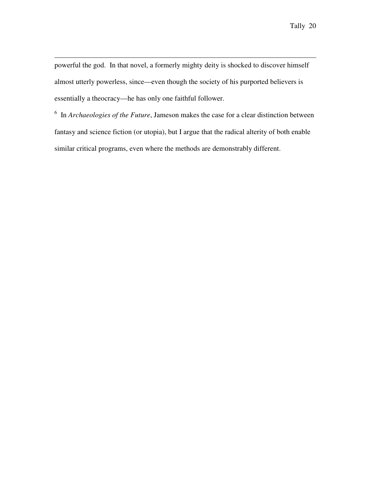powerful the god. In that novel, a formerly mighty deity is shocked to discover himself almost utterly powerless, since—even though the society of his purported believers is essentially a theocracy—he has only one faithful follower.

 $\overline{a}$ 

<sup>6</sup> In *Archaeologies of the Future*, Jameson makes the case for a clear distinction between fantasy and science fiction (or utopia), but I argue that the radical alterity of both enable similar critical programs, even where the methods are demonstrably different.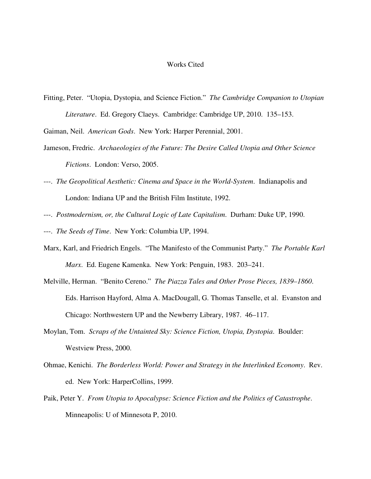#### Works Cited

- Fitting, Peter. "Utopia, Dystopia, and Science Fiction." *The Cambridge Companion to Utopian Literature*. Ed. Gregory Claeys. Cambridge: Cambridge UP, 2010. 135–153. Gaiman, Neil. *American Gods*. New York: Harper Perennial, 2001.
- Jameson, Fredric. *Archaeologies of the Future: The Desire Called Utopia and Other Science Fictions*. London: Verso, 2005.
- ---. *The Geopolitical Aesthetic: Cinema and Space in the World-System*. Indianapolis and London: Indiana UP and the British Film Institute, 1992.
- ---. *Postmodernism, or, the Cultural Logic of Late Capitalism*. Durham: Duke UP, 1990.
- ---. *The Seeds of Time*. New York: Columbia UP, 1994.
- Marx, Karl, and Friedrich Engels. "The Manifesto of the Communist Party." *The Portable Karl Marx*. Ed. Eugene Kamenka. New York: Penguin, 1983. 203–241.
- Melville, Herman. "Benito Cereno." *The Piazza Tales and Other Prose Pieces, 1839–1860*. Eds. Harrison Hayford, Alma A. MacDougall, G. Thomas Tanselle, et al. Evanston and Chicago: Northwestern UP and the Newberry Library, 1987. 46–117.
- Moylan, Tom. *Scraps of the Untainted Sky: Science Fiction, Utopia, Dystopia*. Boulder: Westview Press, 2000.
- Ohmae, Kenichi. *The Borderless World: Power and Strategy in the Interlinked Economy*. Rev. ed. New York: HarperCollins, 1999.
- Paik, Peter Y. *From Utopia to Apocalypse: Science Fiction and the Politics of Catastrophe*. Minneapolis: U of Minnesota P, 2010.